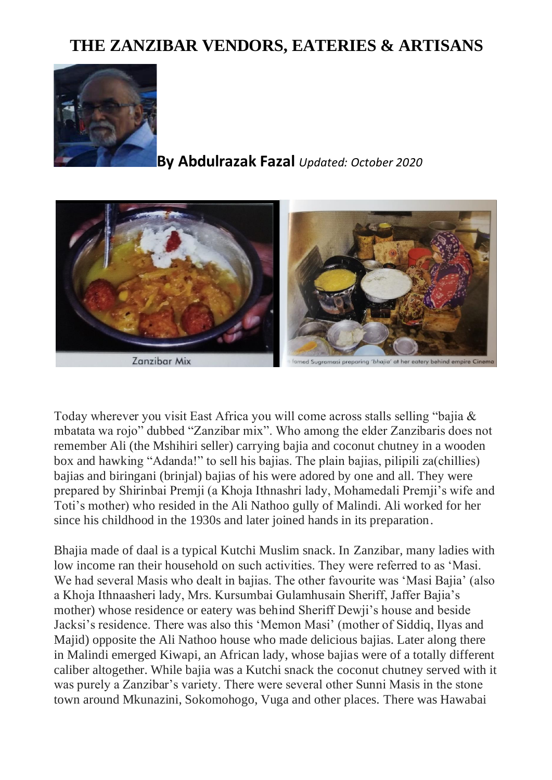## **THE ZANZIBAR VENDORS, EATERIES & ARTISANS**



**By Abdulrazak Fazal** *Updated: October 2020*



Zanzibar Mix

ed Sugramasi preparing 'bhajia' at her eatery behind empire Cin

Today wherever you visit East Africa you will come across stalls selling "bajia & mbatata wa rojo" dubbed "Zanzibar mix". Who among the elder Zanzibaris does not remember Ali (the Mshihiri seller) carrying bajia and coconut chutney in a wooden box and hawking "Adanda!" to sell his bajias. The plain bajias, pilipili za(chillies) bajias and biringani (brinjal) bajias of his were adored by one and all. They were prepared by Shirinbai Premji (a Khoja Ithnashri lady, Mohamedali Premji's wife and Toti's mother) who resided in the Ali Nathoo gully of Malindi. Ali worked for her since his childhood in the 1930s and later joined hands in its preparation.

Bhajia made of daal is a typical Kutchi Muslim snack. In Zanzibar, many ladies with low income ran their household on such activities. They were referred to as 'Masi. We had several Masis who dealt in bajias. The other favourite was 'Masi Bajia' (also a Khoja Ithnaasheri lady, Mrs. Kursumbai Gulamhusain Sheriff, Jaffer Bajia's mother) whose residence or eatery was behind Sheriff Dewji's house and beside Jacksi's residence. There was also this 'Memon Masi' (mother of Siddiq, Ilyas and Majid) opposite the Ali Nathoo house who made delicious bajias. Later along there in Malindi emerged Kiwapi, an African lady, whose bajias were of a totally different caliber altogether. While bajia was a Kutchi snack the coconut chutney served with it was purely a Zanzibar's variety. There were several other Sunni Masis in the stone town around Mkunazini, Sokomohogo, Vuga and other places. There was Hawabai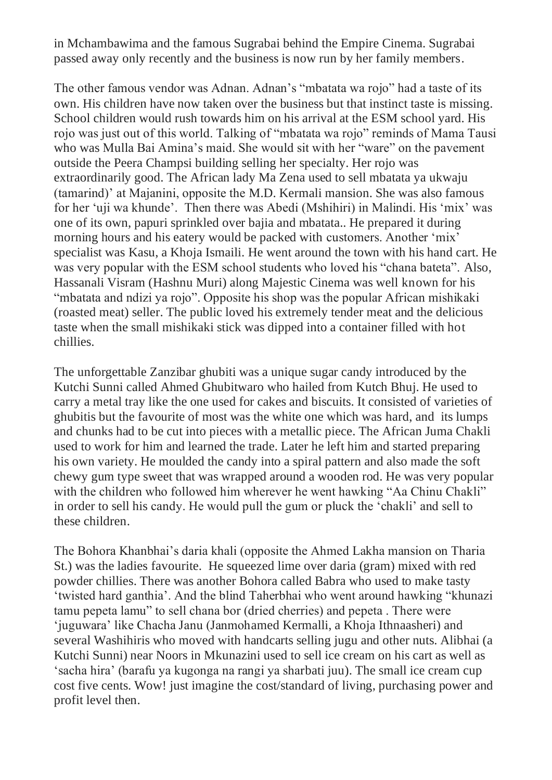in Mchambawima and the famous Sugrabai behind the Empire Cinema. Sugrabai passed away only recently and the business is now run by her family members.

The other famous vendor was Adnan. Adnan's "mbatata wa rojo" had a taste of its own. His children have now taken over the business but that instinct taste is missing. School children would rush towards him on his arrival at the ESM school yard. His rojo was just out of this world. Talking of "mbatata wa rojo" reminds of Mama Tausi who was Mulla Bai Amina's maid. She would sit with her "ware" on the pavement outside the Peera Champsi building selling her specialty. Her rojo was extraordinarily good. The African lady Ma Zena used to sell mbatata ya ukwaju (tamarind)' at Majanini, opposite the M.D. Kermali mansion. She was also famous for her 'uji wa khunde'. Then there was Abedi (Mshihiri) in Malindi. His 'mix' was one of its own, papuri sprinkled over bajia and mbatata.. He prepared it during morning hours and his eatery would be packed with customers. Another 'mix' specialist was Kasu, a Khoja Ismaili. He went around the town with his hand cart. He was very popular with the ESM school students who loved his "chana bateta". Also, Hassanali Visram (Hashnu Muri) along Majestic Cinema was well known for his "mbatata and ndizi ya rojo". Opposite his shop was the popular African mishikaki (roasted meat) seller. The public loved his extremely tender meat and the delicious taste when the small mishikaki stick was dipped into a container filled with hot chillies.

The unforgettable Zanzibar ghubiti was a unique sugar candy introduced by the Kutchi Sunni called Ahmed Ghubitwaro who hailed from Kutch Bhuj. He used to carry a metal tray like the one used for cakes and biscuits. It consisted of varieties of ghubitis but the favourite of most was the white one which was hard, and its lumps and chunks had to be cut into pieces with a metallic piece. The African Juma Chakli used to work for him and learned the trade. Later he left him and started preparing his own variety. He moulded the candy into a spiral pattern and also made the soft chewy gum type sweet that was wrapped around a wooden rod. He was very popular with the children who followed him wherever he went hawking "Aa Chinu Chakli" in order to sell his candy. He would pull the gum or pluck the 'chakli' and sell to these children.

The Bohora Khanbhai's daria khali (opposite the Ahmed Lakha mansion on Tharia St.) was the ladies favourite. He squeezed lime over daria (gram) mixed with red powder chillies. There was another Bohora called Babra who used to make tasty 'twisted hard ganthia'. And the blind Taherbhai who went around hawking "khunazi tamu pepeta lamu" to sell chana bor (dried cherries) and pepeta . There were 'juguwara' like Chacha Janu (Janmohamed Kermalli, a Khoja Ithnaasheri) and several Washihiris who moved with handcarts selling jugu and other nuts. Alibhai (a Kutchi Sunni) near Noors in Mkunazini used to sell ice cream on his cart as well as 'sacha hira' (barafu ya kugonga na rangi ya sharbati juu). The small ice cream cup cost five cents. Wow! just imagine the cost/standard of living, purchasing power and profit level then.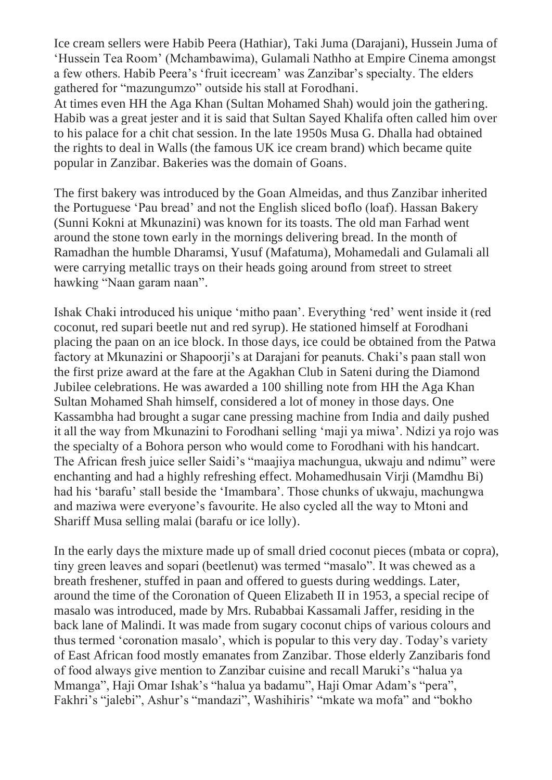Ice cream sellers were Habib Peera (Hathiar), Taki Juma (Darajani), Hussein Juma of 'Hussein Tea Room' (Mchambawima), Gulamali Nathho at Empire Cinema amongst a few others. Habib Peera's 'fruit icecream' was Zanzibar's specialty. The elders gathered for "mazungumzo" outside his stall at Forodhani.

At times even HH the Aga Khan (Sultan Mohamed Shah) would join the gathering. Habib was a great jester and it is said that Sultan Sayed Khalifa often called him over to his palace for a chit chat session. In the late 1950s Musa G. Dhalla had obtained the rights to deal in Walls (the famous UK ice cream brand) which became quite popular in Zanzibar. Bakeries was the domain of Goans.

The first bakery was introduced by the Goan Almeidas, and thus Zanzibar inherited the Portuguese 'Pau bread' and not the English sliced boflo (loaf). Hassan Bakery (Sunni Kokni at Mkunazini) was known for its toasts. The old man Farhad went around the stone town early in the mornings delivering bread. In the month of Ramadhan the humble Dharamsi, Yusuf (Mafatuma), Mohamedali and Gulamali all were carrying metallic trays on their heads going around from street to street hawking "Naan garam naan".

Ishak Chaki introduced his unique 'mitho paan'. Everything 'red' went inside it (red coconut, red supari beetle nut and red syrup). He stationed himself at Forodhani placing the paan on an ice block. In those days, ice could be obtained from the Patwa factory at Mkunazini or Shapoorji's at Darajani for peanuts. Chaki's paan stall won the first prize award at the fare at the Agakhan Club in Sateni during the Diamond Jubilee celebrations. He was awarded a 100 shilling note from HH the Aga Khan Sultan Mohamed Shah himself, considered a lot of money in those days. One Kassambha had brought a sugar cane pressing machine from India and daily pushed it all the way from Mkunazini to Forodhani selling 'maji ya miwa'. Ndizi ya rojo was the specialty of a Bohora person who would come to Forodhani with his handcart. The African fresh juice seller Saidi's "maajiya machungua, ukwaju and ndimu" were enchanting and had a highly refreshing effect. Mohamedhusain Virji (Mamdhu Bi) had his 'barafu' stall beside the 'Imambara'. Those chunks of ukwaju, machungwa and maziwa were everyone's favourite. He also cycled all the way to Mtoni and Shariff Musa selling malai (barafu or ice lolly).

In the early days the mixture made up of small dried coconut pieces (mbata or copra), tiny green leaves and sopari (beetlenut) was termed "masalo". It was chewed as a breath freshener, stuffed in paan and offered to guests during weddings. Later, around the time of the Coronation of Queen Elizabeth II in 1953, a special recipe of masalo was introduced, made by Mrs. Rubabbai Kassamali Jaffer, residing in the back lane of Malindi. It was made from sugary coconut chips of various colours and thus termed 'coronation masalo', which is popular to this very day. Today's variety of East African food mostly emanates from Zanzibar. Those elderly Zanzibaris fond of food always give mention to Zanzibar cuisine and recall Maruki's "halua ya Mmanga", Haji Omar Ishak's "halua ya badamu", Haji Omar Adam's "pera", Fakhri's "jalebi", Ashur's "mandazi", Washihiris' "mkate wa mofa" and "bokho